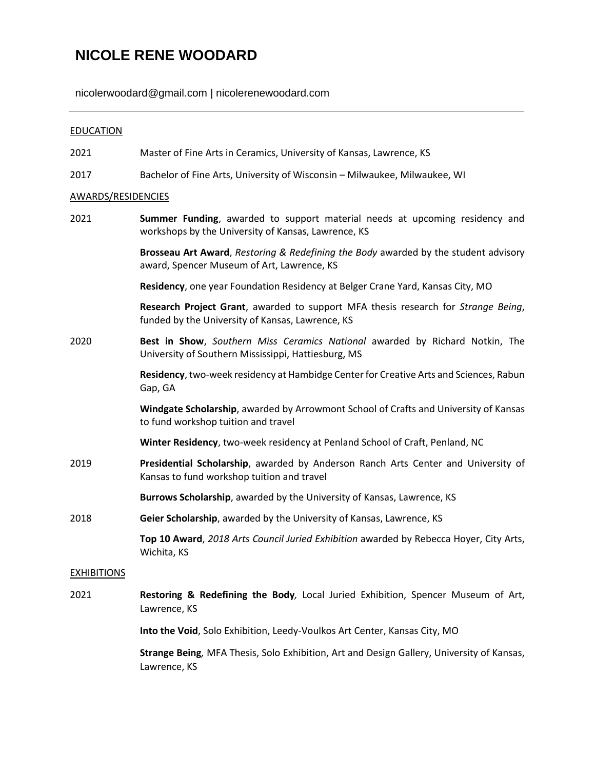# **NICOLE RENE WOODARD**

nicolerwoodard@gmail.com | nicolerenewoodard.com

## **EDUCATION**

- 2021 Master of Fine Arts in Ceramics, University of Kansas, Lawrence, KS
- 2017 Bachelor of Fine Arts, University of Wisconsin Milwaukee, Milwaukee, WI

### AWARDS/RESIDENCIES

| 2021               | Summer Funding, awarded to support material needs at upcoming residency and<br>workshops by the University of Kansas, Lawrence, KS    |
|--------------------|---------------------------------------------------------------------------------------------------------------------------------------|
|                    | Brosseau Art Award, Restoring & Redefining the Body awarded by the student advisory<br>award, Spencer Museum of Art, Lawrence, KS     |
|                    | Residency, one year Foundation Residency at Belger Crane Yard, Kansas City, MO                                                        |
|                    | Research Project Grant, awarded to support MFA thesis research for Strange Being,<br>funded by the University of Kansas, Lawrence, KS |
| 2020               | Best in Show, Southern Miss Ceramics National awarded by Richard Notkin, The<br>University of Southern Mississippi, Hattiesburg, MS   |
|                    | Residency, two-week residency at Hambidge Center for Creative Arts and Sciences, Rabun<br>Gap, GA                                     |
|                    | Windgate Scholarship, awarded by Arrowmont School of Crafts and University of Kansas<br>to fund workshop tuition and travel           |
|                    | Winter Residency, two-week residency at Penland School of Craft, Penland, NC                                                          |
| 2019               | Presidential Scholarship, awarded by Anderson Ranch Arts Center and University of<br>Kansas to fund workshop tuition and travel       |
|                    | Burrows Scholarship, awarded by the University of Kansas, Lawrence, KS                                                                |
| 2018               | Geier Scholarship, awarded by the University of Kansas, Lawrence, KS                                                                  |
|                    | Top 10 Award, 2018 Arts Council Juried Exhibition awarded by Rebecca Hoyer, City Arts,<br>Wichita, KS                                 |
| <b>EXHIBITIONS</b> |                                                                                                                                       |
| 2021               | Restoring & Redefining the Body, Local Juried Exhibition, Spencer Museum of Art,<br>Lawrence, KS                                      |
|                    | Into the Void, Solo Exhibition, Leedy-Voulkos Art Center, Kansas City, MO                                                             |
|                    | Strange Being, MFA Thesis, Solo Exhibition, Art and Design Gallery, University of Kansas,<br>Lawrence, KS                             |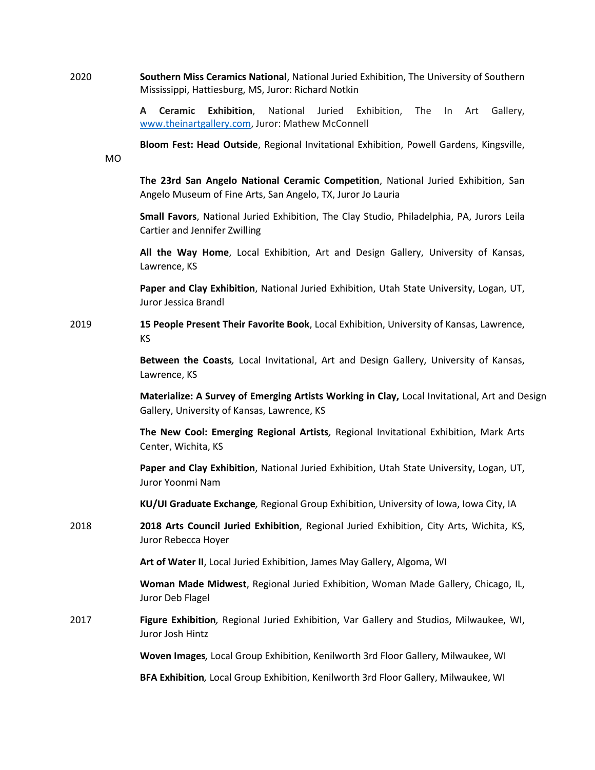2020 **Southern Miss Ceramics National**, National Juried Exhibition, The University of Southern Mississippi, Hattiesburg, MS, Juror: Richard Notkin

MO

**A Ceramic Exhibition**, National Juried Exhibition, The In Art Gallery, [www.theinartgallery.com,](http://www.theinartgallery.com/) Juror: Mathew McConnell

**Bloom Fest: Head Outside**, Regional Invitational Exhibition, Powell Gardens, Kingsville,

**The 23rd San Angelo National Ceramic Competition**, National Juried Exhibition, San Angelo Museum of Fine Arts, San Angelo, TX, Juror Jo Lauria

**Small Favors**, National Juried Exhibition, The Clay Studio, Philadelphia, PA, Jurors Leila Cartier and Jennifer Zwilling

**All the Way Home**, Local Exhibition, Art and Design Gallery, University of Kansas, Lawrence, KS

**Paper and Clay Exhibition**, National Juried Exhibition, Utah State University, Logan, UT, Juror Jessica Brandl

2019 **15 People Present Their Favorite Book**, Local Exhibition, University of Kansas, Lawrence, KS

> **Between the Coasts***,* Local Invitational, Art and Design Gallery, University of Kansas, Lawrence, KS

**Materialize: A Survey of Emerging Artists Working in Clay,** Local Invitational, Art and Design Gallery, University of Kansas, Lawrence, KS

**The New Cool: Emerging Regional Artists***,* Regional Invitational Exhibition, Mark Arts Center, Wichita, KS

**Paper and Clay Exhibition**, National Juried Exhibition, Utah State University, Logan, UT, Juror Yoonmi Nam

**KU/UI Graduate Exchange***,* Regional Group Exhibition, University of Iowa, Iowa City, IA

2018 **2018 Arts Council Juried Exhibition**, Regional Juried Exhibition, City Arts, Wichita, KS, Juror Rebecca Hoyer

**Art of Water II**, Local Juried Exhibition, James May Gallery, Algoma, WI

**Woman Made Midwest**, Regional Juried Exhibition, Woman Made Gallery, Chicago, IL, Juror Deb Flagel

2017 **Figure Exhibition***,* Regional Juried Exhibition, Var Gallery and Studios, Milwaukee, WI, Juror Josh Hintz

**Woven Images***,* Local Group Exhibition, Kenilworth 3rd Floor Gallery, Milwaukee, WI

**BFA Exhibition***,* Local Group Exhibition, Kenilworth 3rd Floor Gallery, Milwaukee, WI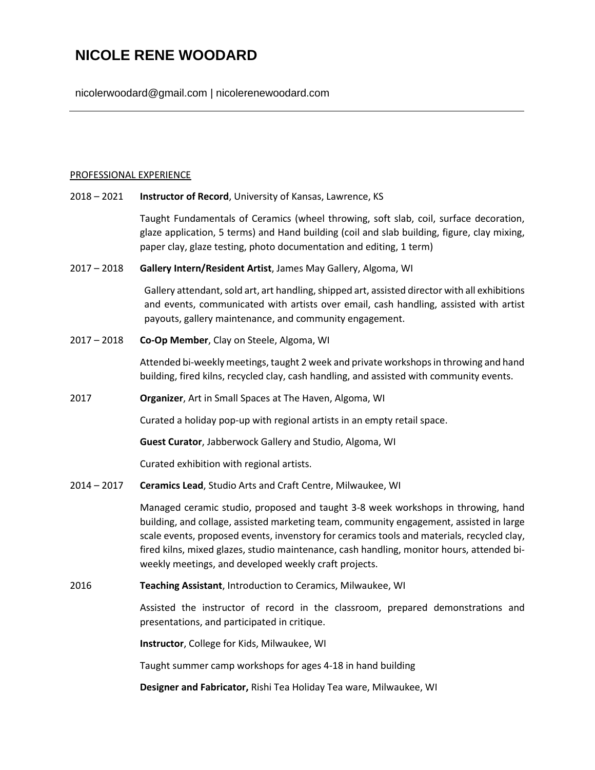# **NICOLE RENE WOODARD**

nicolerwoodard@gmail.com | nicolerenewoodard.com

#### PROFESSIONAL EXPERIENCE

2018 – 2021 **Instructor of Record**, University of Kansas, Lawrence, KS

Taught Fundamentals of Ceramics (wheel throwing, soft slab, coil, surface decoration, glaze application, 5 terms) and Hand building (coil and slab building, figure, clay mixing, paper clay, glaze testing, photo documentation and editing, 1 term)

2017 – 2018 **Gallery Intern/Resident Artist**, James May Gallery, Algoma, WI

Gallery attendant, sold art, art handling, shipped art, assisted director with all exhibitions and events, communicated with artists over email, cash handling, assisted with artist payouts, gallery maintenance, and community engagement.

2017 – 2018 **Co-Op Member**, Clay on Steele, Algoma, WI

Attended bi-weekly meetings, taught 2 week and private workshops in throwing and hand building, fired kilns, recycled clay, cash handling, and assisted with community events.

2017 **Organizer**, Art in Small Spaces at The Haven, Algoma, WI

Curated a holiday pop-up with regional artists in an empty retail space.

**Guest Curator**, Jabberwock Gallery and Studio, Algoma, WI

Curated exhibition with regional artists.

2014 – 2017 **Ceramics Lead**, Studio Arts and Craft Centre, Milwaukee, WI

Managed ceramic studio, proposed and taught 3-8 week workshops in throwing, hand building, and collage, assisted marketing team, community engagement, assisted in large scale events, proposed events, invenstory for ceramics tools and materials, recycled clay, fired kilns, mixed glazes, studio maintenance, cash handling, monitor hours, attended biweekly meetings, and developed weekly craft projects.

2016 **Teaching Assistant**, Introduction to Ceramics, Milwaukee, WI

Assisted the instructor of record in the classroom, prepared demonstrations and presentations, and participated in critique.

**Instructor**, College for Kids, Milwaukee, WI

Taught summer camp workshops for ages 4-18 in hand building

**Designer and Fabricator,** Rishi Tea Holiday Tea ware, Milwaukee, WI